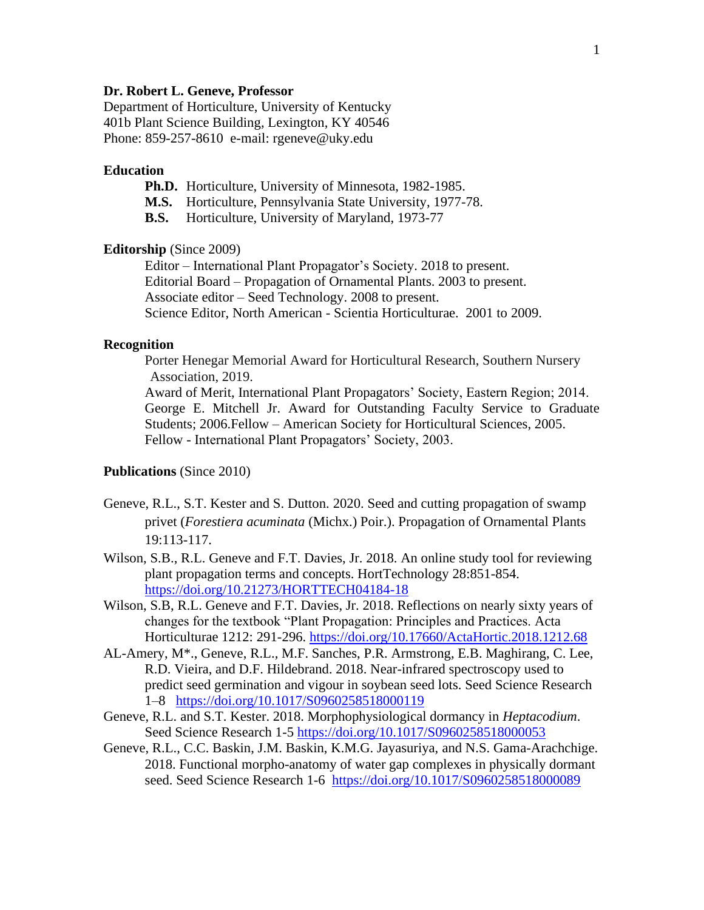# **Dr. Robert L. Geneve, Professor**

Department of Horticulture, University of Kentucky 401b Plant Science Building, Lexington, KY 40546 Phone: 859-257-8610 e-mail: rgeneve@uky.edu

## **Education**

- **Ph.D.** Horticulture, University of Minnesota, 1982-1985.
- **M.S.** Horticulture, Pennsylvania State University, 1977-78.
- **B.S.** Horticulture, University of Maryland, 1973-77

## **Editorship** (Since 2009)

Editor – International Plant Propagator's Society. 2018 to present. Editorial Board – Propagation of Ornamental Plants. 2003 to present. Associate editor – Seed Technology. 2008 to present. Science Editor, North American - Scientia Horticulturae. 2001 to 2009.

## **Recognition**

Porter Henegar Memorial Award for Horticultural Research, Southern Nursery Association, 2019.

Award of Merit, International Plant Propagators' Society, Eastern Region; 2014. George E. Mitchell Jr. Award for Outstanding Faculty Service to Graduate Students; 2006.Fellow – American Society for Horticultural Sciences, 2005. Fellow - International Plant Propagators' Society, 2003.

### **Publications** (Since 2010)

- Geneve, R.L., S.T. Kester and S. Dutton. 2020. Seed and cutting propagation of swamp privet (*Forestiera acuminata* (Michx.) Poir.). Propagation of Ornamental Plants 19:113-117.
- Wilson, S.B., R.L. Geneve and F.T. Davies, Jr. 2018. An online study tool for reviewing plant propagation terms and concepts. HortTechnology 28:851-854. <https://doi.org/10.21273/HORTTECH04184-18>
- Wilson, S.B, R.L. Geneve and F.T. Davies, Jr. 2018. Reflections on nearly sixty years of changes for the textbook "Plant Propagation: Principles and Practices. Acta Horticulturae 1212: 291-296.<https://doi.org/10.17660/ActaHortic.2018.1212.68>
- AL-Amery, M\*., Geneve, R.L.*,* M.F. Sanches, P.R. Armstrong, E.B. Maghirang, C. Lee, R.D. Vieira, and D.F. Hildebrand. 2018. Near-infrared spectroscopy used to predict seed germination and vigour in soybean seed lots. Seed Science Research 1–8 <https://doi.org/10.1017/S0960258518000119>
- Geneve, R.L. and S.T. Kester. 2018. Morphophysiological dormancy in *Heptacodium*. Seed Science Research 1-5<https://doi.org/10.1017/S0960258518000053>
- Geneve, R.L., C.C. Baskin, J.M. Baskin, K.M.G. Jayasuriya, and N.S. Gama-Arachchige. 2018. Functional morpho-anatomy of water gap complexes in physically dormant seed. Seed Science Research 1-6 <https://doi.org/10.1017/S0960258518000089>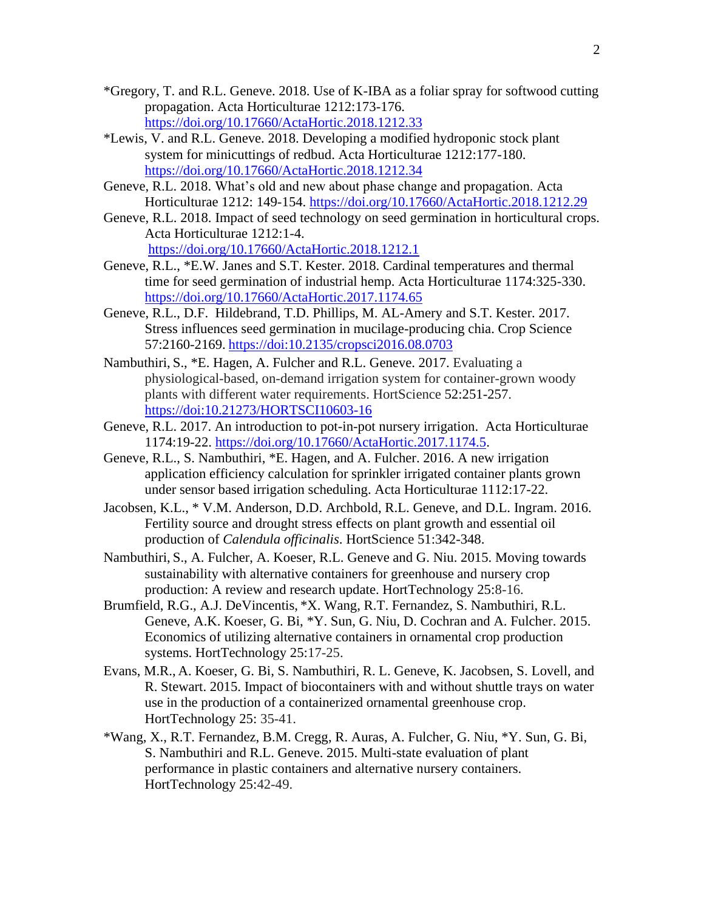- \*Gregory, T. and R.L. Geneve. 2018. Use of K-IBA as a foliar spray for softwood cutting propagation. Acta Horticulturae 1212:173-176. <https://doi.org/10.17660/ActaHortic.2018.1212.33>
- \*Lewis, V. and R.L. Geneve. 2018. Developing a modified hydroponic stock plant system for minicuttings of redbud. Acta Horticulturae 1212:177-180. <https://doi.org/10.17660/ActaHortic.2018.1212.34>
- Geneve, R.L. 2018. What's old and new about phase change and propagation. Acta Horticulturae 1212: 149-154.<https://doi.org/10.17660/ActaHortic.2018.1212.29>
- Geneve, R.L. 2018. Impact of seed technology on seed germination in horticultural crops. Acta Horticulturae 1212:1-4. <https://doi.org/10.17660/ActaHortic.2018.1212.1>
- Geneve, R.L., \*E.W. Janes and S.T. Kester. 2018. Cardinal temperatures and thermal time for seed germination of industrial hemp. Acta Horticulturae 1174:325-330. <https://doi.org/10.17660/ActaHortic.2017.1174.65>
- Geneve, R.L., D.F. Hildebrand, T.D. Phillips, M. AL-Amery and S.T. Kester. 2017. Stress influences seed germination in mucilage-producing chia. Crop Science 57:2160-2169. <https://doi:10.2135/cropsci2016.08.0703>
- Nambuthiri, S., \*E. Hagen, A. Fulcher and R.L. Geneve. 2017. Evaluating a physiological-based, on-demand irrigation system for container-grown woody plants with different water requirements. HortScience 52:251-257. <https://doi:10.21273/HORTSCI10603-16>
- Geneve, R.L. 2017. An introduction to pot-in-pot nursery irrigation. Acta Horticulturae 1174:19-22. [https://doi.org/10.17660/ActaHortic.2017.1174.5.](https://doi.org/10.17660/ActaHortic.2017.1174.5)
- Geneve, R.L., S. Nambuthiri, \*E. Hagen, and A. Fulcher. 2016. A new irrigation application efficiency calculation for sprinkler irrigated container plants grown under sensor based irrigation scheduling. Acta Horticulturae 1112:17-22.
- Jacobsen, K.L., \* V.M. Anderson, D.D. Archbold, R.L. Geneve, and D.L. Ingram. 2016. Fertility source and drought stress effects on plant growth and essential oil production of *Calendula officinalis*. HortScience 51:342-348.
- Nambuthiri, S., A. Fulcher, A. Koeser, R.L. Geneve and G. Niu. 2015. Moving towards sustainability with alternative containers for greenhouse and nursery crop production: A review and research update. HortTechnology 25:8-16.
- Brumfield, R.G., A.J. DeVincentis, \*X. Wang, R.T. Fernandez, S. Nambuthiri, R.L. Geneve, A.K. Koeser, G. Bi, \*Y. Sun, G. Niu, D. Cochran and A. Fulcher. 2015. Economics of utilizing alternative containers in ornamental crop production systems. HortTechnology 25:17-25.
- Evans, M.R., A. Koeser, G. Bi, S. Nambuthiri, R. L. Geneve, K. Jacobsen, S. Lovell, and R. Stewart. 2015. Impact of biocontainers with and without shuttle trays on water use in the production of a containerized ornamental greenhouse crop. HortTechnology 25: 35-41.
- \*Wang, X., R.T. Fernandez, B.M. Cregg, R. Auras, A. Fulcher, G. Niu, \*Y. Sun, G. Bi, S. Nambuthiri and R.L. Geneve. 2015. Multi-state evaluation of plant performance in plastic containers and alternative nursery containers. HortTechnology 25:42-49.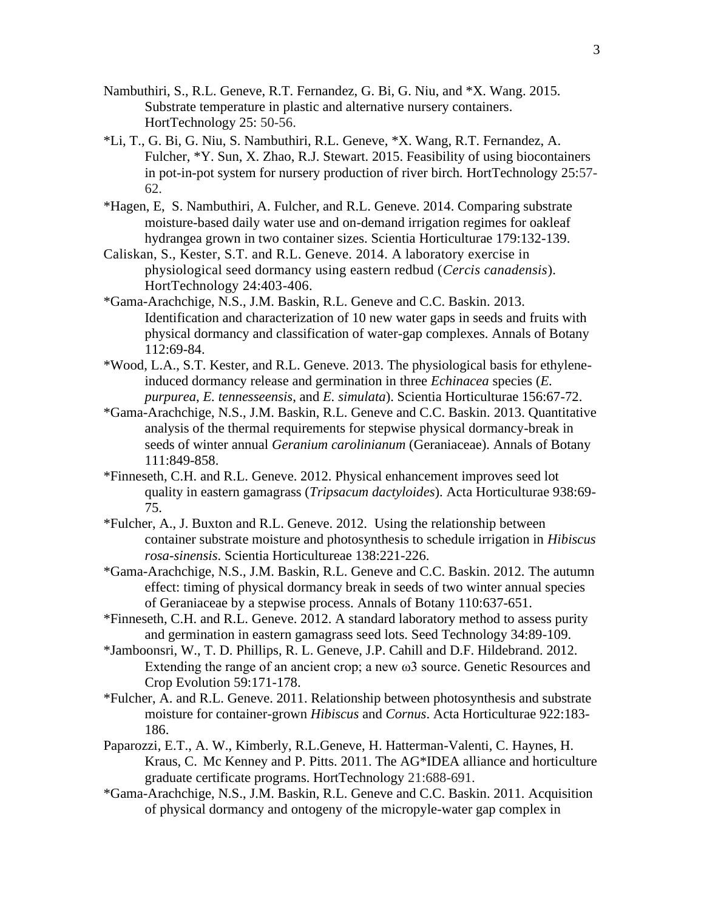- Nambuthiri, S., R.L. Geneve, R.T. Fernandez, G. Bi, G. Niu, and \*X. Wang. 2015. Substrate temperature in plastic and alternative nursery containers. HortTechnology 25: 50-56.
- \*Li, T., G. Bi, G. Niu, S. Nambuthiri, R.L. Geneve, \*X. Wang, R.T. Fernandez, A. Fulcher, \*Y. Sun, X. Zhao, R.J. Stewart. 2015. Feasibility of using biocontainers in pot-in-pot system for nursery production of river birch*.* HortTechnology 25:57- 62.
- \*Hagen, E, S. Nambuthiri, A. Fulcher, and R.L. Geneve. 2014. Comparing substrate moisture-based daily water use and on-demand irrigation regimes for oakleaf hydrangea grown in two container sizes. Scientia Horticulturae 179:132-139.
- Caliskan, S., Kester, S.T. and R.L. Geneve. 2014. A laboratory exercise in physiological seed dormancy using eastern redbud (*Cercis canadensis*). HortTechnology 24:403-406.
- \*Gama-Arachchige, N.S., J.M. Baskin, R.L. Geneve and C.C. Baskin. 2013. Identification and characterization of 10 new water gaps in seeds and fruits with physical dormancy and classification of water-gap complexes. Annals of Botany 112:69-84.
- \*Wood, L.A., S.T. Kester, and R.L. Geneve. 2013. The physiological basis for ethyleneinduced dormancy release and germination in three *Echinacea* species (*E. purpurea*, *E. tennesseensis*, and *E. simulata*). Scientia Horticulturae 156:67-72.
- \*Gama-Arachchige, N.S., J.M. Baskin, R.L. Geneve and C.C. Baskin. 2013. Quantitative analysis of the thermal requirements for stepwise physical dormancy-break in seeds of winter annual *Geranium carolinianum* (Geraniaceae). Annals of Botany 111:849-858.
- \*Finneseth, C.H. and R.L. Geneve. 2012. Physical enhancement improves seed lot quality in eastern gamagrass (*Tripsacum dactyloides*). Acta Horticulturae 938:69- 75.
- \*Fulcher, A., J. Buxton and R.L. Geneve. 2012. Using the relationship between container substrate moisture and photosynthesis to schedule irrigation in *Hibiscus rosa-sinensis*. Scientia Horticultureae 138:221-226.
- \*Gama-Arachchige, N.S., J.M. Baskin, R.L. Geneve and C.C. Baskin. 2012. The autumn effect: timing of physical dormancy break in seeds of two winter annual species of Geraniaceae by a stepwise process. Annals of Botany 110:637-651.
- \*Finneseth, C.H. and R.L. Geneve. 2012. A standard laboratory method to assess purity and germination in eastern gamagrass seed lots. Seed Technology 34:89-109.
- \*Jamboonsri, W., T. D. Phillips, R. L. Geneve, J.P. Cahill and D.F. Hildebrand. 2012. Extending the range of an ancient crop; a new ω3 source. Genetic Resources and Crop Evolution 59:171-178.
- \*Fulcher, A. and R.L. Geneve. 2011. Relationship between photosynthesis and substrate moisture for container-grown *Hibiscus* and *Cornus*. Acta Horticulturae 922:183- 186.
- Paparozzi, E.T., A. W., Kimberly, R.L.Geneve, H. Hatterman-Valenti, C. Haynes, H. Kraus, C. Mc Kenney and P. Pitts. 2011. The AG\*IDEA alliance and horticulture graduate certificate programs. HortTechnology 21:688-691.
- \*Gama-Arachchige, N.S., J.M. Baskin, R.L. Geneve and C.C. Baskin. 2011. Acquisition of physical dormancy and ontogeny of the micropyle-water gap complex in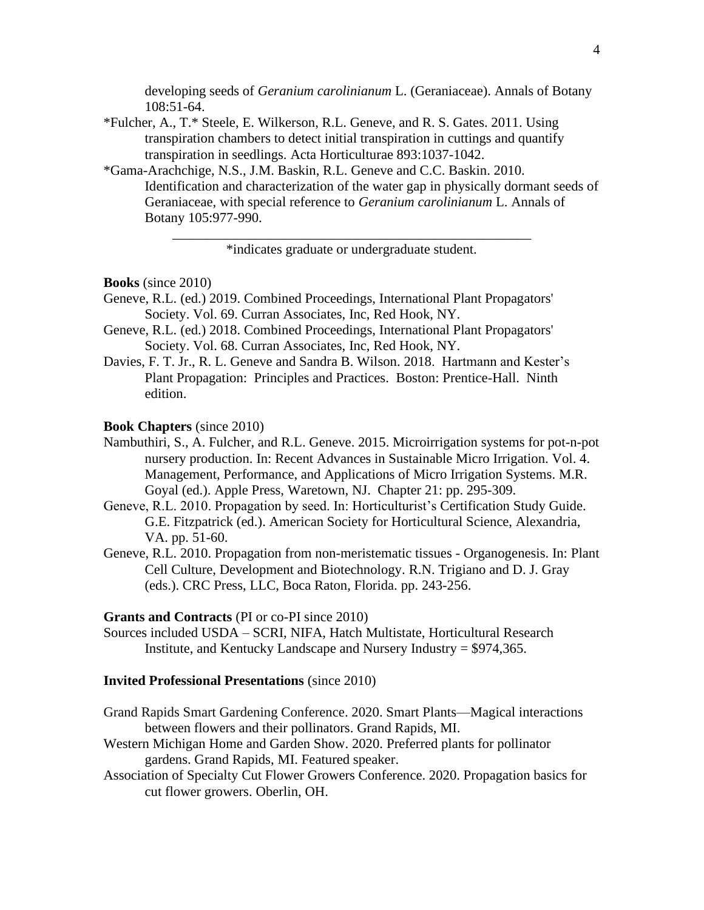developing seeds of *Geranium carolinianum* L. (Geraniaceae). Annals of Botany 108:51-64.

- \*Fulcher, A., T.\* Steele, E. Wilkerson, R.L. Geneve, and R. S. Gates. 2011. Using transpiration chambers to detect initial transpiration in cuttings and quantify transpiration in seedlings. Acta Horticulturae 893:1037-1042.
- \*Gama-Arachchige, N.S., J.M. Baskin, R.L. Geneve and C.C. Baskin. 2010. Identification and characterization of the water gap in physically dormant seeds of Geraniaceae, with special reference to *Geranium carolinianum* L. Annals of Botany 105:977-990.

\_\_\_\_\_\_\_\_\_\_\_\_\_\_\_\_\_\_\_\_\_\_\_\_\_\_\_\_\_\_\_\_\_\_\_\_\_\_\_\_\_\_\_\_\_\_\_\_\_\_\_\_ \*indicates graduate or undergraduate student.

#### **Books** (since 2010)

- Geneve, R.L. (ed.) 2019. Combined Proceedings, International Plant Propagators' Society. Vol. 69. Curran Associates, Inc, Red Hook, NY.
- Geneve, R.L. (ed.) 2018. Combined Proceedings, International Plant Propagators' Society. Vol. 68. Curran Associates, Inc, Red Hook, NY.
- Davies, F. T. Jr., R. L. Geneve and Sandra B. Wilson. 2018. Hartmann and Kester's Plant Propagation: Principles and Practices. Boston: Prentice-Hall. Ninth edition.

#### **Book Chapters** (since 2010)

- Nambuthiri, S., A. Fulcher, and R.L. Geneve. 2015. Microirrigation systems for pot-n-pot nursery production. In: Recent Advances in Sustainable Micro Irrigation. Vol. 4. Management, Performance, and Applications of Micro Irrigation Systems. M.R. Goyal (ed.). Apple Press, Waretown, NJ. Chapter 21: pp. 295-309.
- Geneve, R.L. 2010. Propagation by seed. In: Horticulturist's Certification Study Guide. G.E. Fitzpatrick (ed.). American Society for Horticultural Science, Alexandria, VA. pp. 51-60.
- Geneve, R.L. 2010. Propagation from non-meristematic tissues Organogenesis. In: Plant Cell Culture, Development and Biotechnology. R.N. Trigiano and D. J. Gray (eds.). CRC Press, LLC, Boca Raton, Florida. pp. 243-256.

#### **Grants and Contracts** (PI or co-PI since 2010)

Sources included USDA – SCRI, NIFA, Hatch Multistate, Horticultural Research Institute, and Kentucky Landscape and Nursery Industry = \$974,365.

#### **Invited Professional Presentations** (since 2010)

- Grand Rapids Smart Gardening Conference. 2020. Smart Plants—Magical interactions between flowers and their pollinators. Grand Rapids, MI.
- Western Michigan Home and Garden Show. 2020. Preferred plants for pollinator gardens. Grand Rapids, MI. Featured speaker.
- Association of Specialty Cut Flower Growers Conference. 2020. Propagation basics for cut flower growers. Oberlin, OH.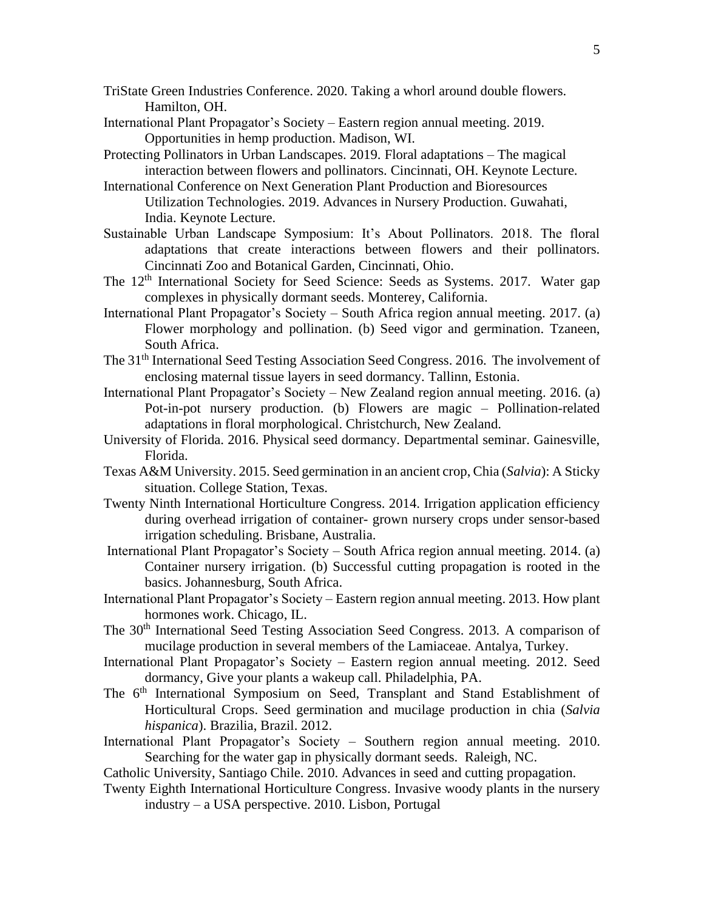- TriState Green Industries Conference. 2020. Taking a whorl around double flowers. Hamilton, OH.
- International Plant Propagator's Society Eastern region annual meeting. 2019. Opportunities in hemp production. Madison, WI.
- Protecting Pollinators in Urban Landscapes. 2019. Floral adaptations The magical interaction between flowers and pollinators. Cincinnati, OH. Keynote Lecture.
- International Conference on Next Generation Plant Production and Bioresources Utilization Technologies. 2019. Advances in Nursery Production. Guwahati, India. Keynote Lecture.
- Sustainable Urban Landscape Symposium: It's About Pollinators. 2018. The floral adaptations that create interactions between flowers and their pollinators. Cincinnati Zoo and Botanical Garden, Cincinnati, Ohio.
- The 12<sup>th</sup> International Society for Seed Science: Seeds as Systems. 2017. Water gap complexes in physically dormant seeds. Monterey, California.
- International Plant Propagator's Society South Africa region annual meeting. 2017. (a) Flower morphology and pollination. (b) Seed vigor and germination. Tzaneen, South Africa.
- The 31<sup>th</sup> International Seed Testing Association Seed Congress. 2016. The involvement of enclosing maternal tissue layers in seed dormancy. Tallinn, Estonia.
- International Plant Propagator's Society New Zealand region annual meeting. 2016. (a) Pot-in-pot nursery production. (b) Flowers are magic – Pollination-related adaptations in floral morphological. Christchurch, New Zealand.
- University of Florida. 2016. Physical seed dormancy. Departmental seminar. Gainesville, Florida.
- Texas A&M University. 2015. Seed germination in an ancient crop, Chia (*Salvia*): A Sticky situation. College Station, Texas.
- Twenty Ninth International Horticulture Congress. 2014. Irrigation application efficiency during overhead irrigation of container- grown nursery crops under sensor-based irrigation scheduling. Brisbane, Australia.
- International Plant Propagator's Society South Africa region annual meeting. 2014. (a) Container nursery irrigation. (b) Successful cutting propagation is rooted in the basics. Johannesburg, South Africa.
- International Plant Propagator's Society Eastern region annual meeting. 2013. How plant hormones work. Chicago, IL.
- The 30<sup>th</sup> International Seed Testing Association Seed Congress. 2013. A comparison of mucilage production in several members of the Lamiaceae. Antalya, Turkey.
- International Plant Propagator's Society Eastern region annual meeting. 2012. Seed dormancy, Give your plants a wakeup call. Philadelphia, PA.
- The 6<sup>th</sup> International Symposium on Seed, Transplant and Stand Establishment of Horticultural Crops. Seed germination and mucilage production in chia (*Salvia hispanica*). Brazilia, Brazil. 2012.
- International Plant Propagator's Society Southern region annual meeting. 2010. Searching for the water gap in physically dormant seeds. Raleigh, NC.
- Catholic University, Santiago Chile. 2010. Advances in seed and cutting propagation.
- Twenty Eighth International Horticulture Congress. Invasive woody plants in the nursery industry – a USA perspective. 2010. Lisbon, Portugal